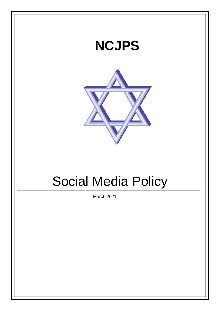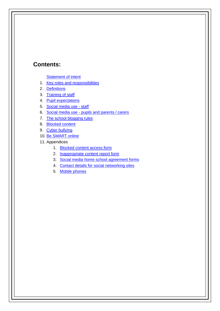### **Contents:**

**[Statement of intent](#page-2-0)** 

- 1. Key roles and [responsibilities](#page-3-0)
- 2. [Definitions](#page-3-1)
- 3. [Training of staff](#page-4-0)
- 4. Pupil [expectations](#page-4-1)
- 5. [Social media use -](#page-4-2) staff
- 6. Social media use [pupils and parents /](#page-5-0) carers
- 7. [The school blogging](#page-6-0) rules
- 8. [Blocked](#page-6-0) content
- 9. [Cyber bullying](#page-6-1)
- 10. [Be SMART](#page-7-0) online
- 11. Appendices
	- 1. [Blocked content access](#page-8-0) form
	- 2. [Inappropriate content report](#page-8-0) form
	- 3. [Social media home school agreement](#page-10-0) forms
	- 4. [Contact details for social networking](#page-11-0) sites
	- 5. Mobile [phones](#page-12-0)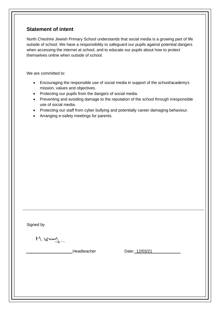### <span id="page-2-0"></span>**Statement of intent**

North Cheshire Jewish Primary School understands that social media is a growing part of life outside of school. We have a responsibility to safeguard our pupils against potential dangers when accessing the internet at school, and to educate our pupils about how to protect themselves online when outside of school.

We are committed to:

- Encouraging the responsible use of social media in support of the school/academy"s mission, values and objectives.
- Protecting our pupils from the dangers of social media.
- Preventing and avoiding damage to the reputation of the school through irresponsible use of social media.
- Protecting our staff from cyber bullying and potentially career damaging behaviour.
- Arranging e-safety meetings for parents.

Signed by

M. Wood

Headteacher Date: 12/03/21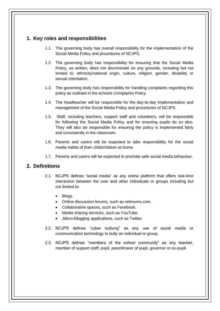### <span id="page-3-0"></span>**1. Key roles and responsibilities**

- 1.1. The governing body has overall responsibility for the implementation of the Social Media Policy and procedures of NCJPS.
- 1.2. The governing body has responsibility for ensuring that the Social Media Policy, as written, does not discriminate on any grounds, including but not limited to: ethnicity/national origin, culture, religion, gender, disability or sexual orientation.
- 1.3. The governing body has responsibility for handling complaints regarding this policy as outlined in the school's Complaints Policy.
- 1.4. The headteacher will be responsible for the day-to-day implementation and management of the Social Media Policy and procedures of NCJPS.
- 1.5. Staff, including teachers, support staff and volunteers, will be responsible for following the Social Media Policy and for ensuring pupils do so also. They will also be responsible for ensuring the policy is implemented fairly and consistently in the classroom.
- 1.6. Parents and carers will be expected to take responsibility for the social media habits of their child/children at home.
- 1.7. Parents and carers will be expected to promote safe social media behaviour.

#### <span id="page-3-1"></span>**2. Definitions**

- 2.1. NCJPS defines "social media" as any online platform that offers real-time interaction between the user and other individuals or groups including but not limited to:
	- Blogs.
	- Online discussion forums, such as netmums.com.
	- Collaborative spaces, such as Facebook.
	- Media sharing services, such as YouTube.
	- "Micro-blogging' applications, such as Twitter.
- 2.2. NCJPS defines "cyber bullying" as any use of social media or communication technology to bully an individual or group.
- 2.3. NCJPS defines "members of the school community" as any teacher, member of support staff, pupil, parent/carer of pupil, governor or ex-pupil.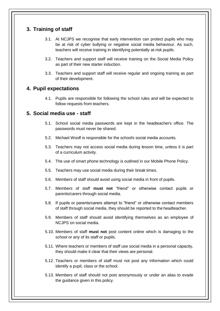### <span id="page-4-0"></span>**3. Training of staff**

- 3.1. At NCJPS we recognise that early intervention can protect pupils who may be at risk of cyber bullying or negative social media behaviour. As such, teachers will receive training in identifying potentially at-risk pupils.
- 3.2. Teachers and support staff will receive training on the Social Media Policy as part of their new starter induction.
- 3.3. Teachers and support staff will receive regular and ongoing training as part of their development.

#### <span id="page-4-1"></span>**4. Pupil expectations**

4.1. Pupils are responsible for following the school rules and will be expected to follow requests from teachers.

#### <span id="page-4-2"></span>**5. Social media use - staff**

- 5.1. School social media passwords are kept in the headteacher's office. The passwords must never be shared.
- 5.2. Michael Woolf is responsible for the school's social media accounts.
- 5.3. Teachers may not access social media during lesson time, unless it is part of a curriculum activity.
- 5.4. The use of smart phone technology is outlined in our Mobile Phone Policy.
- 5.5. Teachers may use social media during their break times.
- 5.6. Members of staff should avoid using social media in front of pupils.
- 5.7. Members of staff **must not** "friend" or otherwise contact pupils or parents/carers through social media.
- 5.8. If pupils or parents/carers attempt to "friend" or otherwise contact members of staff through social media, they should be reported to the headteacher.
- 5.9. Members of staff should avoid identifying themselves as an employee of NCJPS on social media.
- 5.10. Members of staff **must not** post content online which is damaging to the school or any of its staff or pupils.
- 5.11. Where teachers or members of staff use social media in a personal capacity, they should make it clear that their views are personal.
- 5.12. Teachers or members of staff must not post any information which could identify a pupil, class or the school.
- 5.13. Members of staff should not post anonymously or under an alias to evade the guidance given in this policy.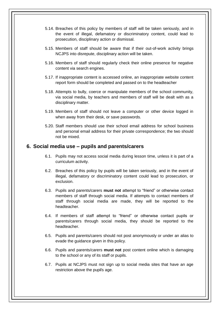- 5.14. Breaches of this policy by members of staff will be taken seriously, and in the event of illegal, defamatory or discriminatory content, could lead to prosecution, disciplinary action or dismissal.
- 5.15. Members of staff should be aware that if their out-of-work activity brings NCJPS into disrepute, disciplinary action will be taken.
- 5.16. Members of staff should regularly check their online presence for negative content via search engines.
- 5.17. If inappropriate content is accessed online, an inappropriate website content report form should be completed and passed on to the headteacher
- 5.18. Attempts to bully, coerce or manipulate members of the school community, via social media, by teachers and members of staff will be dealt with as a disciplinary matter.
- 5.19. Members of staff should not leave a computer or other device logged in when away from their desk, or save passwords.
- 5.20. Staff members should use their school email address for school business and personal email address for their private correspondence; the two should not be mixed.

#### <span id="page-5-0"></span>**6. Social media use – pupils and parents/carers**

- 6.1. Pupils may not access social media during lesson time, unless it is part of a curriculum activity.
- 6.2. Breaches of this policy by pupils will be taken seriously, and in the event of illegal, defamatory or discriminatory content could lead to prosecution, or exclusion.
- 6.3. Pupils and parents/carers **must not** attempt to "friend" or otherwise contact members of staff through social media. If attempts to contact members of staff through social media are made, they will be reported to the headteacher.
- 6.4. If members of staff attempt to "friend" or otherwise contact pupils or parents/carers through social media, they should be reported to the headteacher.
- 6.5. Pupils and parents/carers should not post anonymously or under an alias to evade the guidance given in this policy.
- 6.6. Pupils and parents/carers **must not** post content online which is damaging to the school or any of its staff or pupils.
- 6.7. Pupils at NCJPS must not sign up to social media sites that have an age restriction above the pupil's age.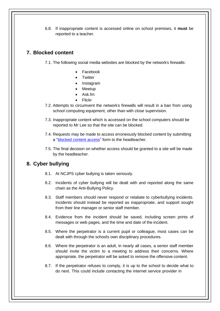6.8. If inappropriate content is accessed online on school premises, it **must** be reported to a teacher.

### <span id="page-6-0"></span>**7. Blocked content**

7.1. The following social media websites are blocked by the network's firewalls:

- Facebook
- **Twitter**
- Instagram
- Meetup
- Ask.fm
- Flickr
- 7.2. Attempts to circumvent the network's firewalls will result in a ban from using school computing equipment, other than with close supervision.
- 7.3. Inappropriate content which is accessed on the school computers should be reported to Mr Lee so that the site can be blocked.
- 7.4. Requests may be made to access erroneously blocked content by submitting a ["blocked content access"](#page-8-0) form to the headteacher.
- 7.5. The final decision on whether access should be granted to a site will be made by the headteacher.

### <span id="page-6-1"></span>**8. Cyber bullying**

- 8.1. At NCJPS cyber bullying is taken seriously.
- 8.2. Incidents of cyber bullying will be dealt with and reported along the same chain as the Anti-Bullying Policy.
- 8.3. Staff members should never respond or retaliate to cyberbullying incidents. Incidents should instead be reported as inappropriate, and support sought from their line manager or senior staff member.
- 8.4. Evidence from the incident should be saved, including screen prints of messages or web pages, and the time and date of the incident.
- 8.5. Where the perpetrator is a current pupil or colleague, most cases can be dealt with through the school's own disciplinary procedures.
- 8.6. Where the perpetrator is an adult, in nearly all cases, a senior staff member should invite the victim to a meeting to address their concerns. Where appropriate, the perpetrator will be asked to remove the offensive content.
- 8.7. If the perpetrator refuses to comply, it is up to the school to decide what to do next. This could include contacting the internet service provider in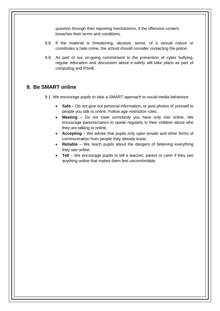question through their reporting mechanisms, if the offensive content breaches their terms and conditions.

- 8.8. If the material is threatening, abusive, sexist, of a sexual nature or constitutes a hate crime, the school should consider contacting the police.
- 8.9. As part of our on-going commitment to the prevention of cyber bullying, regular education and discussion about e-safety will take place as part of computing and PSHE.

#### <span id="page-7-0"></span>**9. Be SMART online**

9.1. We encourage pupils to take a SMART approach to social media behaviour:

- **Safe** Do not give out personal information, or post photos of yourself to people you talk to online. Follow age restriction rules.
- **Meeting**  Do not meet somebody you have only met online. We encourage parents/carers to speak regularly to their children about who they are talking to online.
- **Accepting**  We advise that pupils only open emails and other forms of communication from people they already know.
- **Reliable**  We teach pupils about the dangers of believing everything they see online.
- **Tell** We encourage pupils to tell a teacher, parent or carer if they see anything online that makes them feel uncomfortable.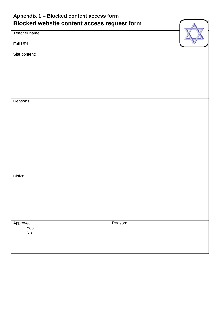# <span id="page-8-0"></span>**Appendix 1 – Blocked content access form**

| Blocked website content access request form                         |         |  |  |
|---------------------------------------------------------------------|---------|--|--|
| Teacher name:                                                       |         |  |  |
| Full URL:                                                           |         |  |  |
| Site content:                                                       |         |  |  |
|                                                                     |         |  |  |
|                                                                     |         |  |  |
|                                                                     |         |  |  |
| Reasons:                                                            |         |  |  |
|                                                                     |         |  |  |
|                                                                     |         |  |  |
|                                                                     |         |  |  |
|                                                                     |         |  |  |
|                                                                     |         |  |  |
|                                                                     |         |  |  |
| Risks:                                                              |         |  |  |
|                                                                     |         |  |  |
|                                                                     |         |  |  |
|                                                                     |         |  |  |
|                                                                     |         |  |  |
| Approved<br>Yes<br>$\Box$<br>$\operatorname{\mathsf{No}}$<br>$\Box$ | Reason: |  |  |
|                                                                     |         |  |  |
|                                                                     |         |  |  |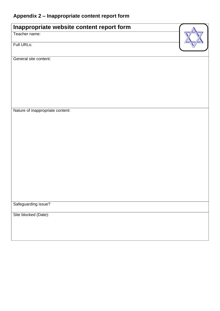# **Appendix 2 – Inappropriate content report form**

| Inappropriate website content report form |  |
|-------------------------------------------|--|
| Teacher name:                             |  |
| Full URLs:                                |  |
| General site content:                     |  |
|                                           |  |
|                                           |  |
|                                           |  |
|                                           |  |
| Nature of inappropriate content:          |  |
|                                           |  |
|                                           |  |
|                                           |  |
|                                           |  |
|                                           |  |
|                                           |  |
|                                           |  |
| Safeguarding issue?                       |  |
| Site blocked (Date):                      |  |
|                                           |  |
|                                           |  |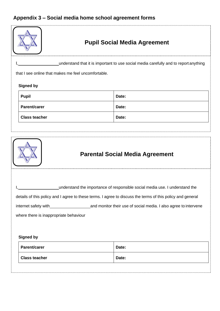# <span id="page-10-0"></span>**Appendix 3 – Social media home school agreement forms**

| <b>Pupil Social Media Agreement</b>                                                                                                                                                                                                                                                                                              |       |  |  |  |
|----------------------------------------------------------------------------------------------------------------------------------------------------------------------------------------------------------------------------------------------------------------------------------------------------------------------------------|-------|--|--|--|
| understand that it is important to use social media carefully and to report anything                                                                                                                                                                                                                                             |       |  |  |  |
| that I see online that makes me feel uncomfortable.                                                                                                                                                                                                                                                                              |       |  |  |  |
| <b>Signed by</b>                                                                                                                                                                                                                                                                                                                 |       |  |  |  |
| <b>Pupil</b>                                                                                                                                                                                                                                                                                                                     | Date: |  |  |  |
| Parent/carer                                                                                                                                                                                                                                                                                                                     | Date: |  |  |  |
| <b>Class teacher</b>                                                                                                                                                                                                                                                                                                             | Date: |  |  |  |
|                                                                                                                                                                                                                                                                                                                                  |       |  |  |  |
| <b>Parental Social Media Agreement</b>                                                                                                                                                                                                                                                                                           |       |  |  |  |
| understand the importance of responsible social media use. I understand the<br>details of this policy and I agree to these terms. I agree to discuss the terms of this policy and general<br>and monitor their use of social media. I also agree to intervene<br>internet safety with_<br>where there is inappropriate behaviour |       |  |  |  |
| <b>Signed by</b>                                                                                                                                                                                                                                                                                                                 |       |  |  |  |
| <b>Parent/carer</b>                                                                                                                                                                                                                                                                                                              | Date: |  |  |  |
| <b>Class teacher</b>                                                                                                                                                                                                                                                                                                             | Date: |  |  |  |
|                                                                                                                                                                                                                                                                                                                                  |       |  |  |  |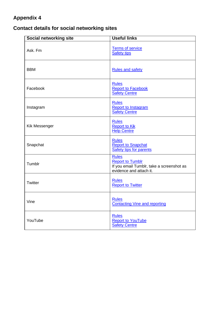# <span id="page-11-0"></span>**Appendix 4**

# **Contact details for social networking sites**

| <b>Social networking site</b> | <b>Useful links</b>                                                                                             |  |  |
|-------------------------------|-----------------------------------------------------------------------------------------------------------------|--|--|
| Ask. Fm                       | <b>Terms of service</b><br><b>Safety tips</b>                                                                   |  |  |
| <b>BBM</b>                    | <b>Rules and safety</b>                                                                                         |  |  |
| Facebook                      | <b>Rules</b><br><b>Report to Facebook</b><br><b>Safety Centre</b>                                               |  |  |
| Instagram                     | <b>Rules</b><br><b>Report to Instagram</b><br><b>Safety Centre</b>                                              |  |  |
| Kik Messenger                 | <b>Rules</b><br><b>Report to Kik</b><br><b>Help Centre</b>                                                      |  |  |
| Snapchat                      | <b>Rules</b><br><b>Report to Snapchat</b><br><b>Safety tips for parents</b>                                     |  |  |
| Tumblr                        | <b>Rules</b><br><b>Report to Tumblr</b><br>If you email Tumblr, take a screenshot as<br>evidence and attach it. |  |  |
| Twitter                       | <b>Rules</b><br><b>Report to Twitter</b>                                                                        |  |  |
| Vine                          | <b>Rules</b><br><b>Contacting Vine and reporting</b>                                                            |  |  |
| YouTube                       | <b>Rules</b><br><b>Report to YouTube</b><br><b>Safety Centre</b>                                                |  |  |